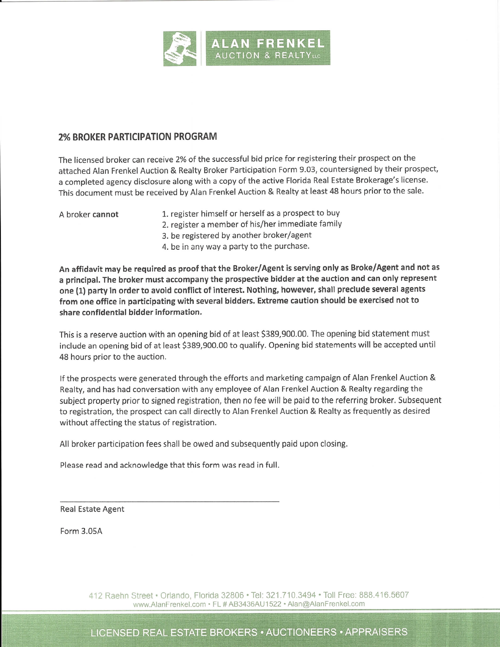

## 2% BROKER PARTICIPATloN PROGRAM

The licensed broker can receive 2% of the successful bid price for registering their prospect on the attached Alan Frenkel Auction & Realty Broker Participation Form 9.03, countersigned by their prospect, a completed agency disclosure along with a copy of the active Florida Real Estate Brokerage's license. This document must be received by Alan Frenkel Auction & Realty at least 48 hours prior to the sale.

- A broker cannot 1. register himself or herself as a prospect to buy
	- 2. register a member of his/her immediate family
	- 3. be registered by another broker/agent
	- 4. be in any way a party to the purchase.

An affidavit may be required as proof that the Broker/Agent is serving only as Broke/Agent and not as a principal. The broker must accompany the prospective bidder at the auction and can only represent one (1) party in order to avoid conflict of interest. Nothing, however, shall preclude several agents from one office in participating with several bidders. Extreme caution should be exercised not to share confidential bidder information.

This is a reserve auction with an opening bid of at least \$389,900.00. The opening bid statement must include an opening bid of at least \$389,900.00 to qualify. Opening bid statements will be accepted until 48 hours prior to the auction.

If the prospects were generated through the efforts and marketing campaign of Alan Frenkel Auction & Realty, and has had conversation with any employee of Alan Frenkel Auction & Realty regarding the subject property prior to signed registration, then no fee will be paid to the referring broker. Subsequent to registration, the prospect can call directly to Alan Frenkel Auction & Realty as frequently as desired without affecting the status of registration.

All broker participation fees shall be owed and subsequently paid upon closing.

Please read and acknowledge that this form was read in full.

Real Estate Agent

Form 3.05A

412 Raehn Street . Orlando, Florida 32806 . Tel: 321.710.3494 . Toll Free: 888.416.5607 www.AlanFrenkel.com · FL # AB3436AU1522 · Alan@AlanFrenkel.com